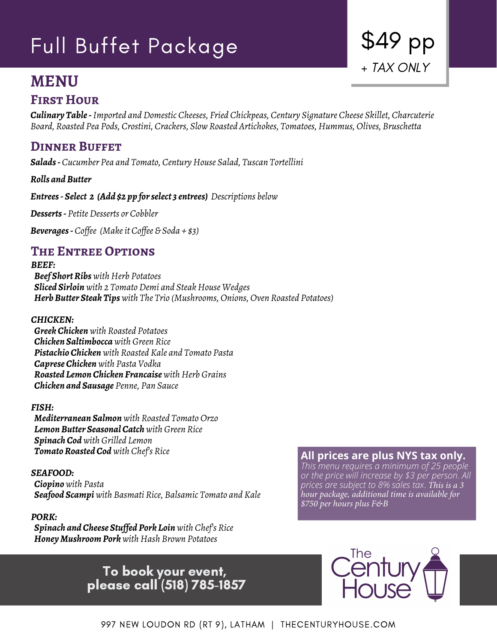# Full Buffet Package

# **MENU**

## **FIRST HOUR**

*Culinary Table - Imported and Domestic Cheeses, Fried Chickpeas, Century Signature Cheese Skillet, Charcuterie Board, Roasted Pea Pods, Crostini, Crackers, Slow Roasted Artichokes, Tomatoes, Hummus, Olives, Bruschetta*

# **Dinner Buffet**

*Salads - Cucumber Pea and Tomato, Century House Salad, Tuscan Tortellini*

*Rolls and Butter*

*Entrees - Select 2 (Add \$2 pp for select 3 entrees) Descriptions below*

*Desserts - Petite Desserts or Cobbler*

*Beverages - Coffee (Make it Coffee & Soda + \$3)*

### **The Entree Options**

*BEEF: Beef Short Ribs with Herb Potatoes Sliced Sirloin with 2 Tomato Demi and Steak House Wedges Herb Butter Steak Tips with The Trio (Mushrooms, Onions, Oven Roasted Potatoes)*

### *CHICKEN:*

*Greek Chicken with Roasted Potatoes Chicken Saltimbocca with Green Rice Pistachio Chicken with Roasted Kale and Tomato Pasta Caprese Chicken with Pasta Vodka Roasted Lemon Chicken Francaise with Herb Grains Chicken and Sausage Penne, Pan Sauce*

### *FISH:*

*Mediterranean Salmon with Roasted Tomato Orzo Lemon Butter Seasonal Catch with Green Rice Spinach Cod with Grilled Lemon Tomato Roasted Cod with Chef's Rice*

### *SEAFOOD:*

*Ciopino with Pasta Seafood Scampi with Basmati Rice, Balsamic Tomato and Kale*

### *PORK:*

*Spinach and Cheese Stuffed Pork Loin with Chef's Rice Honey Mushroom Pork with Hash Brown Potatoes*

### **All prices are plus NYS tax only.**

\$49 pp

+ TAX ONLY

*This menu requires a minimum of 25 people or the price will increase by \$3 per person. All prices are subject to 8% sales tax*. *This is a 3 hour package, additional time is available for \$750 per hours plus F&B*

# To book your event, please call (518) 785-1857